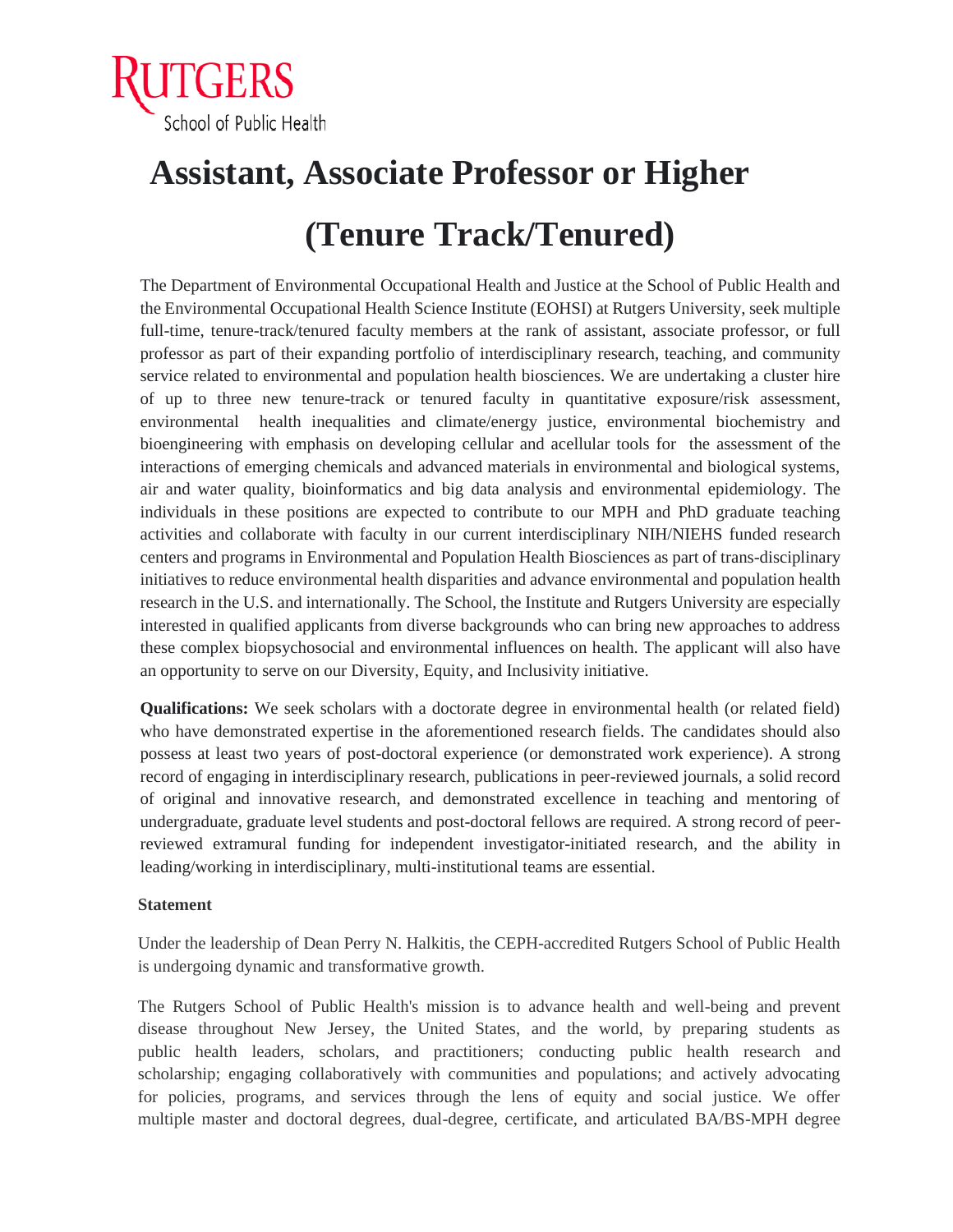

## **Assistant, Associate Professor or Higher (Tenure Track/Tenured)**

The Department of Environmental Occupational Health and Justice at the School of Public Health and the Environmental Occupational Health Science Institute (EOHSI) at Rutgers University, seek multiple full-time, tenure-track/tenured faculty members at the rank of assistant, associate professor, or full professor as part of their expanding portfolio of interdisciplinary research, teaching, and community service related to environmental and population health biosciences. We are undertaking a cluster hire of up to three new tenure-track or tenured faculty in quantitative exposure/risk assessment, environmental health inequalities and climate/energy justice, environmental biochemistry and bioengineering with emphasis on developing cellular and acellular tools for the assessment of the interactions of emerging chemicals and advanced materials in environmental and biological systems, air and water quality, bioinformatics and big data analysis and environmental epidemiology. The individuals in these positions are expected to contribute to our MPH and PhD graduate teaching activities and collaborate with faculty in our current interdisciplinary NIH/NIEHS funded research centers and programs in Environmental and Population Health Biosciences as part of trans-disciplinary initiatives to reduce environmental health disparities and advance environmental and population health research in the U.S. and internationally. The School, the Institute and Rutgers University are especially interested in qualified applicants from diverse backgrounds who can bring new approaches to address these complex biopsychosocial and environmental influences on health. The applicant will also have an opportunity to serve on our Diversity, Equity, and Inclusivity initiative.

**Qualifications:** We seek scholars with a doctorate degree in environmental health (or related field) who have demonstrated expertise in the aforementioned research fields. The candidates should also possess at least two years of post-doctoral experience (or demonstrated work experience). A strong record of engaging in interdisciplinary research, publications in peer-reviewed journals, a solid record of original and innovative research, and demonstrated excellence in teaching and mentoring of undergraduate, graduate level students and post-doctoral fellows are required. A strong record of peerreviewed extramural funding for independent investigator-initiated research, and the ability in leading/working in interdisciplinary, multi-institutional teams are essential.

## **Statement**

 Under the leadership of Dean Perry N. Halkitis, the CEPH-accredited Rutgers School of Public Health is undergoing dynamic and transformative growth.

 The Rutgers School of Public Health's mission is to advance health and well-being and prevent disease throughout New Jersey, the United States, and the world, by preparing students as public health leaders, scholars, and practitioners; conducting public health research and scholarship; engaging collaboratively with communities and populations; and actively advocating for policies, programs, and services through the lens of equity and social justice. We offer multiple master and doctoral degrees, dual-degree, certificate, and articulated BA/BS-MPH degree